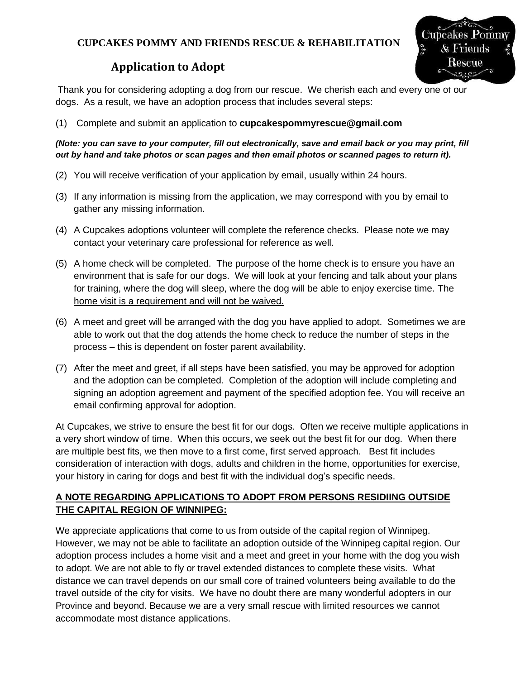## **CUPCAKES POMMY AND FRIENDS RESCUE & REHABILITATION**



# **Application to Adopt**

Thank you for considering adopting a dog from our rescue. We cherish each and every one of our dogs. As a result, we have an adoption process that includes several steps:

(1) Complete and submit an application to **cupcakespommyrescue@gmail.com**

*(Note: you can save to your computer, fill out electronically, save and email back or you may print, fill out by hand and take photos or scan pages and then email photos or scanned pages to return it).*

- (2) You will receive verification of your application by email, usually within 24 hours.
- (3) If any information is missing from the application, we may correspond with you by email to gather any missing information.
- (4) A Cupcakes adoptions volunteer will complete the reference checks. Please note we may contact your veterinary care professional for reference as well.
- (5) A home check will be completed. The purpose of the home check is to ensure you have an environment that is safe for our dogs. We will look at your fencing and talk about your plans for training, where the dog will sleep, where the dog will be able to enjoy exercise time. The home visit is a requirement and will not be waived.
- (6) A meet and greet will be arranged with the dog you have applied to adopt. Sometimes we are able to work out that the dog attends the home check to reduce the number of steps in the process – this is dependent on foster parent availability.
- (7) After the meet and greet, if all steps have been satisfied, you may be approved for adoption and the adoption can be completed. Completion of the adoption will include completing and signing an adoption agreement and payment of the specified adoption fee. You will receive an email confirming approval for adoption.

At Cupcakes, we strive to ensure the best fit for our dogs. Often we receive multiple applications in a very short window of time. When this occurs, we seek out the best fit for our dog. When there are multiple best fits, we then move to a first come, first served approach. Best fit includes consideration of interaction with dogs, adults and children in the home, opportunities for exercise, your history in caring for dogs and best fit with the individual dog's specific needs.

### **A NOTE REGARDING APPLICATIONS TO ADOPT FROM PERSONS RESIDIING OUTSIDE THE CAPITAL REGION OF WINNIPEG:**

We appreciate applications that come to us from outside of the capital region of Winnipeg. However, we may not be able to facilitate an adoption outside of the Winnipeg capital region. Our adoption process includes a home visit and a meet and greet in your home with the dog you wish to adopt. We are not able to fly or travel extended distances to complete these visits. What distance we can travel depends on our small core of trained volunteers being available to do the travel outside of the city for visits. We have no doubt there are many wonderful adopters in our Province and beyond. Because we are a very small rescue with limited resources we cannot accommodate most distance applications.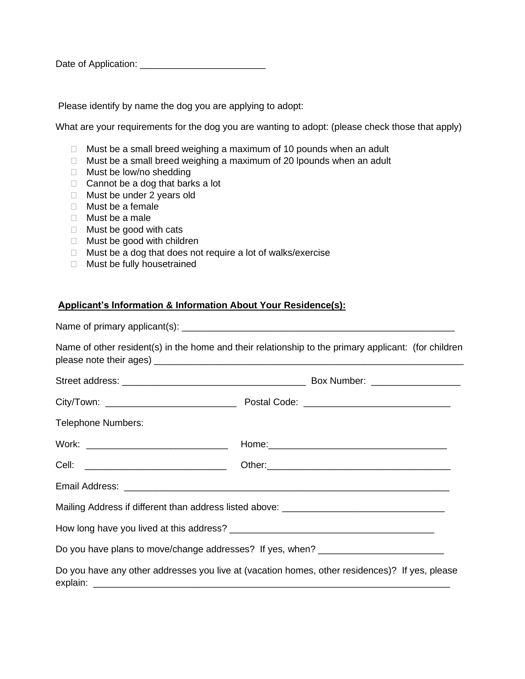| Date of Application: |  |
|----------------------|--|
|----------------------|--|

Please identify by name the dog you are applying to adopt:

What are your requirements for the dog you are wanting to adopt: (please check those that apply)

- $\Box$  Must be a small breed weighing a maximum of 10 pounds when an adult
- $\Box$  Must be a small breed weighing a maximum of 20 lpounds when an adult
- □ Must be low/no shedding
- $\Box$  Cannot be a dog that barks a lot
- □ Must be under 2 years old
- $\Box$  Must be a female
- Must be a male
- $\Box$  Must be good with cats
- □ Must be good with children
- $\Box$  Must be a dog that does not require a lot of walks/exercise
- □ Must be fully housetrained

#### **Applicant's Information & Information About Your Residence(s):**

| Name of other resident(s) in the home and their relationship to the primary applicant: (for children |  |
|------------------------------------------------------------------------------------------------------|--|
|                                                                                                      |  |
|                                                                                                      |  |
| <b>Telephone Numbers:</b>                                                                            |  |
|                                                                                                      |  |
|                                                                                                      |  |
|                                                                                                      |  |
|                                                                                                      |  |
|                                                                                                      |  |
| Do you have plans to move/change addresses? If yes, when? ______________________                     |  |
| Do you have any other addresses you live at (vacation homes, other residences)? If yes, please       |  |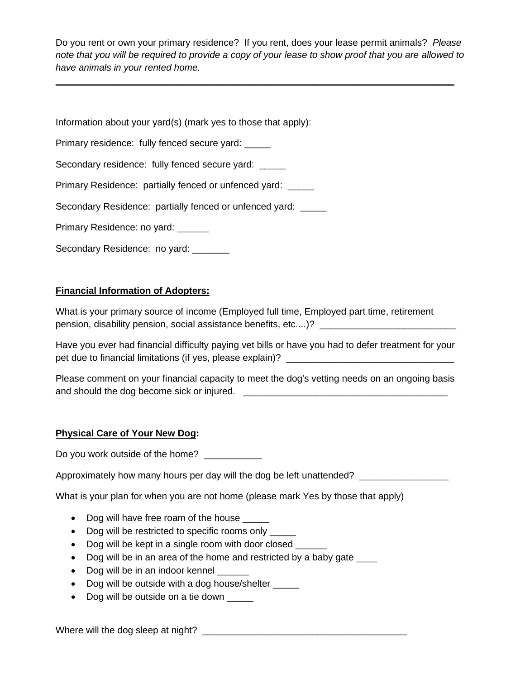Do you rent or own your primary residence? If you rent, does your lease permit animals? *Please note that you will be required to provide a copy of your lease to show proof that you are allowed to have animals in your rented home.*

**\_\_\_\_\_\_\_\_\_\_\_\_\_\_\_\_\_\_\_\_\_\_\_\_\_\_\_\_\_\_\_\_\_\_\_\_\_\_\_\_\_\_\_\_\_\_\_\_\_\_\_\_\_\_\_\_\_\_\_\_\_\_\_\_\_\_\_\_\_\_\_\_\_\_\_\_**

| Information about your yard(s) (mark yes to those that apply): |
|----------------------------------------------------------------|
| Primary residence: fully fenced secure yard:                   |
| Secondary residence: fully fenced secure yard: _____           |
| Primary Residence: partially fenced or unfenced yard:          |
| Secondary Residence: partially fenced or unfenced yard: _____  |
| Primary Residence: no yard:                                    |
| Secondary Residence: no yard: _____                            |

#### **Financial Information of Adopters:**

What is your primary source of income (Employed full time, Employed part time, retirement pension, disability pension, social assistance benefits, etc....)? \_\_\_\_\_\_\_\_\_\_\_\_\_\_\_\_\_\_\_\_\_\_\_\_\_\_

Have you ever had financial difficulty paying vet bills or have you had to defer treatment for your pet due to financial limitations (if yes, please explain)? \_\_\_\_\_\_\_\_\_\_\_\_\_\_\_\_\_\_\_\_\_\_

Please comment on your financial capacity to meet the dog's vetting needs on an ongoing basis and should the dog become sick or injured. \_\_\_\_\_\_\_\_\_\_\_\_\_\_\_\_\_\_\_\_\_\_\_\_\_\_\_\_\_\_\_\_\_\_\_\_\_\_\_

#### **Physical Care of Your New Dog:**

Do you work outside of the home?

Approximately how many hours per day will the dog be left unattended? \_\_\_\_\_\_\_\_\_\_

What is your plan for when you are not home (please mark Yes by those that apply)

- Dog will have free roam of the house \_\_\_\_\_
- Dog will be restricted to specific rooms only
- Dog will be kept in a single room with door closed
- Dog will be in an area of the home and restricted by a baby gate \_\_\_\_
- Dog will be in an indoor kennel \_\_\_\_\_
- Dog will be outside with a dog house/shelter \_\_\_\_\_\_
- Dog will be outside on a tie down

Where will the dog sleep at night? \_\_\_\_\_\_\_\_\_\_\_\_\_\_\_\_\_\_\_\_\_\_\_\_\_\_\_\_\_\_\_\_\_\_\_\_\_\_\_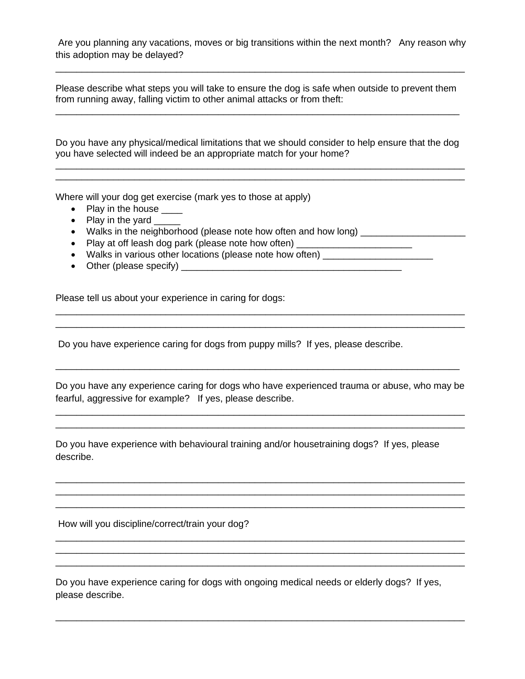Are you planning any vacations, moves or big transitions within the next month? Any reason why this adoption may be delayed?

\_\_\_\_\_\_\_\_\_\_\_\_\_\_\_\_\_\_\_\_\_\_\_\_\_\_\_\_\_\_\_\_\_\_\_\_\_\_\_\_\_\_\_\_\_\_\_\_\_\_\_\_\_\_\_\_\_\_\_\_\_\_\_\_\_\_\_\_\_\_\_\_\_\_\_\_\_\_

Please describe what steps you will take to ensure the dog is safe when outside to prevent them from running away, falling victim to other animal attacks or from theft: \_\_\_\_\_\_\_\_\_\_\_\_\_\_\_\_\_\_\_\_\_\_\_\_\_\_\_\_\_\_\_\_\_\_\_\_\_\_\_\_\_\_\_\_\_\_\_\_\_\_\_\_\_\_\_\_\_\_\_\_\_\_\_\_\_\_\_\_\_\_\_\_\_\_\_\_\_

Do you have any physical/medical limitations that we should consider to help ensure that the dog you have selected will indeed be an appropriate match for your home?

\_\_\_\_\_\_\_\_\_\_\_\_\_\_\_\_\_\_\_\_\_\_\_\_\_\_\_\_\_\_\_\_\_\_\_\_\_\_\_\_\_\_\_\_\_\_\_\_\_\_\_\_\_\_\_\_\_\_\_\_\_\_\_\_\_\_\_\_\_\_\_\_\_\_\_\_\_\_

Where will your dog get exercise (mark yes to those at apply)

- Play in the house \_\_\_\_
- Play in the yard \_\_\_\_\_
- Walks in the neighborhood (please note how often and how long)
- Play at off leash dog park (please note how often) \_\_\_\_\_\_\_\_\_\_\_\_\_\_\_\_\_\_\_\_\_\_\_\_\_\_\_

• Walks in various other locations (please note how often) \_\_\_\_\_\_\_\_\_\_\_\_\_\_\_\_\_\_\_\_\_

• Other (please specify) \_\_\_\_\_\_\_\_\_\_\_\_\_\_\_\_\_\_\_\_\_\_\_\_\_\_\_\_\_\_\_\_\_\_\_\_\_\_\_\_\_\_

Please tell us about your experience in caring for dogs:

Do you have experience caring for dogs from puppy mills? If yes, please describe.

Do you have any experience caring for dogs who have experienced trauma or abuse, who may be fearful, aggressive for example? If yes, please describe.

\_\_\_\_\_\_\_\_\_\_\_\_\_\_\_\_\_\_\_\_\_\_\_\_\_\_\_\_\_\_\_\_\_\_\_\_\_\_\_\_\_\_\_\_\_\_\_\_\_\_\_\_\_\_\_\_\_\_\_\_\_\_\_\_\_\_\_\_\_\_\_\_\_\_\_\_\_\_ \_\_\_\_\_\_\_\_\_\_\_\_\_\_\_\_\_\_\_\_\_\_\_\_\_\_\_\_\_\_\_\_\_\_\_\_\_\_\_\_\_\_\_\_\_\_\_\_\_\_\_\_\_\_\_\_\_\_\_\_\_\_\_\_\_\_\_\_\_\_\_\_\_\_\_\_\_\_

\_\_\_\_\_\_\_\_\_\_\_\_\_\_\_\_\_\_\_\_\_\_\_\_\_\_\_\_\_\_\_\_\_\_\_\_\_\_\_\_\_\_\_\_\_\_\_\_\_\_\_\_\_\_\_\_\_\_\_\_\_\_\_\_\_\_\_\_\_\_\_\_\_\_\_\_\_\_ \_\_\_\_\_\_\_\_\_\_\_\_\_\_\_\_\_\_\_\_\_\_\_\_\_\_\_\_\_\_\_\_\_\_\_\_\_\_\_\_\_\_\_\_\_\_\_\_\_\_\_\_\_\_\_\_\_\_\_\_\_\_\_\_\_\_\_\_\_\_\_\_\_\_\_\_\_\_ \_\_\_\_\_\_\_\_\_\_\_\_\_\_\_\_\_\_\_\_\_\_\_\_\_\_\_\_\_\_\_\_\_\_\_\_\_\_\_\_\_\_\_\_\_\_\_\_\_\_\_\_\_\_\_\_\_\_\_\_\_\_\_\_\_\_\_\_\_\_\_\_\_\_\_\_\_\_

\_\_\_\_\_\_\_\_\_\_\_\_\_\_\_\_\_\_\_\_\_\_\_\_\_\_\_\_\_\_\_\_\_\_\_\_\_\_\_\_\_\_\_\_\_\_\_\_\_\_\_\_\_\_\_\_\_\_\_\_\_\_\_\_\_\_\_\_\_\_\_\_\_\_\_\_\_\_ \_\_\_\_\_\_\_\_\_\_\_\_\_\_\_\_\_\_\_\_\_\_\_\_\_\_\_\_\_\_\_\_\_\_\_\_\_\_\_\_\_\_\_\_\_\_\_\_\_\_\_\_\_\_\_\_\_\_\_\_\_\_\_\_\_\_\_\_\_\_\_\_\_\_\_\_\_\_ \_\_\_\_\_\_\_\_\_\_\_\_\_\_\_\_\_\_\_\_\_\_\_\_\_\_\_\_\_\_\_\_\_\_\_\_\_\_\_\_\_\_\_\_\_\_\_\_\_\_\_\_\_\_\_\_\_\_\_\_\_\_\_\_\_\_\_\_\_\_\_\_\_\_\_\_\_\_

\_\_\_\_\_\_\_\_\_\_\_\_\_\_\_\_\_\_\_\_\_\_\_\_\_\_\_\_\_\_\_\_\_\_\_\_\_\_\_\_\_\_\_\_\_\_\_\_\_\_\_\_\_\_\_\_\_\_\_\_\_\_\_\_\_\_\_\_\_\_\_\_\_\_\_\_\_\_

\_\_\_\_\_\_\_\_\_\_\_\_\_\_\_\_\_\_\_\_\_\_\_\_\_\_\_\_\_\_\_\_\_\_\_\_\_\_\_\_\_\_\_\_\_\_\_\_\_\_\_\_\_\_\_\_\_\_\_\_\_\_\_\_\_\_\_\_\_\_\_\_\_\_\_\_\_

\_\_\_\_\_\_\_\_\_\_\_\_\_\_\_\_\_\_\_\_\_\_\_\_\_\_\_\_\_\_\_\_\_\_\_\_\_\_\_\_\_\_\_\_\_\_\_\_\_\_\_\_\_\_\_\_\_\_\_\_\_\_\_\_\_\_\_\_\_\_\_\_\_\_\_\_\_\_ \_\_\_\_\_\_\_\_\_\_\_\_\_\_\_\_\_\_\_\_\_\_\_\_\_\_\_\_\_\_\_\_\_\_\_\_\_\_\_\_\_\_\_\_\_\_\_\_\_\_\_\_\_\_\_\_\_\_\_\_\_\_\_\_\_\_\_\_\_\_\_\_\_\_\_\_\_\_

Do you have experience with behavioural training and/or housetraining dogs? If yes, please describe.

How will you discipline/correct/train your dog?

Do you have experience caring for dogs with ongoing medical needs or elderly dogs? If yes, please describe.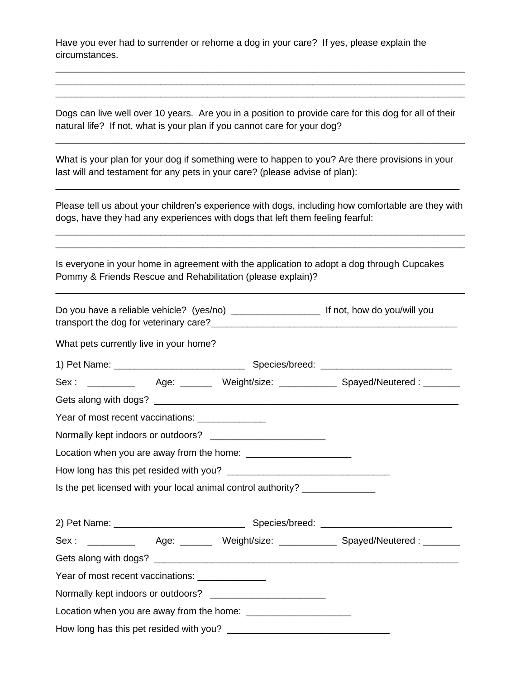Have you ever had to surrender or rehome a dog in your care? If yes, please explain the circumstances.

Dogs can live well over 10 years. Are you in a position to provide care for this dog for all of their natural life? If not, what is your plan if you cannot care for your dog?

\_\_\_\_\_\_\_\_\_\_\_\_\_\_\_\_\_\_\_\_\_\_\_\_\_\_\_\_\_\_\_\_\_\_\_\_\_\_\_\_\_\_\_\_\_\_\_\_\_\_\_\_\_\_\_\_\_\_\_\_\_\_\_\_\_\_\_\_\_\_\_\_\_\_\_\_\_\_

\_\_\_\_\_\_\_\_\_\_\_\_\_\_\_\_\_\_\_\_\_\_\_\_\_\_\_\_\_\_\_\_\_\_\_\_\_\_\_\_\_\_\_\_\_\_\_\_\_\_\_\_\_\_\_\_\_\_\_\_\_\_\_\_\_\_\_\_\_\_\_\_\_\_\_\_\_\_ \_\_\_\_\_\_\_\_\_\_\_\_\_\_\_\_\_\_\_\_\_\_\_\_\_\_\_\_\_\_\_\_\_\_\_\_\_\_\_\_\_\_\_\_\_\_\_\_\_\_\_\_\_\_\_\_\_\_\_\_\_\_\_\_\_\_\_\_\_\_\_\_\_\_\_\_\_\_ \_\_\_\_\_\_\_\_\_\_\_\_\_\_\_\_\_\_\_\_\_\_\_\_\_\_\_\_\_\_\_\_\_\_\_\_\_\_\_\_\_\_\_\_\_\_\_\_\_\_\_\_\_\_\_\_\_\_\_\_\_\_\_\_\_\_\_\_\_\_\_\_\_\_\_\_\_\_

What is your plan for your dog if something were to happen to you? Are there provisions in your last will and testament for any pets in your care? (please advise of plan):

\_\_\_\_\_\_\_\_\_\_\_\_\_\_\_\_\_\_\_\_\_\_\_\_\_\_\_\_\_\_\_\_\_\_\_\_\_\_\_\_\_\_\_\_\_\_\_\_\_\_\_\_\_\_\_\_\_\_\_\_\_\_\_\_\_\_\_\_\_\_\_\_\_\_\_\_\_

Please tell us about your children's experience with dogs, including how comfortable are they with dogs, have they had any experiences with dogs that left them feeling fearful:

\_\_\_\_\_\_\_\_\_\_\_\_\_\_\_\_\_\_\_\_\_\_\_\_\_\_\_\_\_\_\_\_\_\_\_\_\_\_\_\_\_\_\_\_\_\_\_\_\_\_\_\_\_\_\_\_\_\_\_\_\_\_\_\_\_\_\_\_\_\_\_\_\_\_\_\_\_\_ \_\_\_\_\_\_\_\_\_\_\_\_\_\_\_\_\_\_\_\_\_\_\_\_\_\_\_\_\_\_\_\_\_\_\_\_\_\_\_\_\_\_\_\_\_\_\_\_\_\_\_\_\_\_\_\_\_\_\_\_\_\_\_\_\_\_\_\_\_\_\_\_\_\_\_\_\_\_

\_\_\_\_\_\_\_\_\_\_\_\_\_\_\_\_\_\_\_\_\_\_\_\_\_\_\_\_\_\_\_\_\_\_\_\_\_\_\_\_\_\_\_\_\_\_\_\_\_\_\_\_\_\_\_\_\_\_\_\_\_\_\_\_\_\_\_\_\_\_\_\_\_\_\_\_\_\_

| Is everyone in your home in agreement with the application to adopt a dog through Cupcakes |
|--------------------------------------------------------------------------------------------|
| Pommy & Friends Rescue and Rehabilitation (please explain)?                                |

| What pets currently live in your home?          |  |                                                                                 |                                                                                        |
|-------------------------------------------------|--|---------------------------------------------------------------------------------|----------------------------------------------------------------------------------------|
|                                                 |  |                                                                                 |                                                                                        |
|                                                 |  |                                                                                 | Sex: ____________  Age: ________ Weight/size: _______________Spayed/Neutered: ________ |
|                                                 |  |                                                                                 |                                                                                        |
| Year of most recent vaccinations: _____________ |  |                                                                                 |                                                                                        |
|                                                 |  |                                                                                 |                                                                                        |
|                                                 |  |                                                                                 |                                                                                        |
|                                                 |  |                                                                                 |                                                                                        |
|                                                 |  | Is the pet licensed with your local animal control authority? _________________ |                                                                                        |
|                                                 |  |                                                                                 |                                                                                        |
|                                                 |  |                                                                                 | Sex: ____________  Age: ________ Weight/size: _______________Spayed/Neutered: ________ |
|                                                 |  |                                                                                 |                                                                                        |
| Year of most recent vaccinations: _____________ |  |                                                                                 |                                                                                        |
|                                                 |  |                                                                                 |                                                                                        |
|                                                 |  |                                                                                 |                                                                                        |
|                                                 |  |                                                                                 |                                                                                        |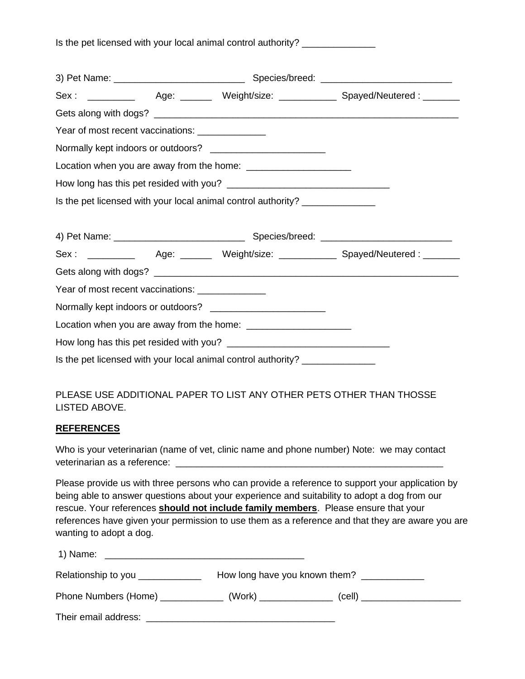| Is the pet licensed with your local animal control authority? |  |  |  |  |  |  |
|---------------------------------------------------------------|--|--|--|--|--|--|
|---------------------------------------------------------------|--|--|--|--|--|--|

|                                                  |                                                                                 | Sex: ____________  Age: ________ Weight/size: _______________Spayed/Neutered: ________ |
|--------------------------------------------------|---------------------------------------------------------------------------------|----------------------------------------------------------------------------------------|
|                                                  |                                                                                 |                                                                                        |
| Year of most recent vaccinations: ______________ |                                                                                 |                                                                                        |
|                                                  |                                                                                 |                                                                                        |
|                                                  |                                                                                 |                                                                                        |
|                                                  |                                                                                 |                                                                                        |
|                                                  | Is the pet licensed with your local animal control authority? _________________ |                                                                                        |
|                                                  |                                                                                 |                                                                                        |
|                                                  |                                                                                 | Sex: ____________  Age: ________ Weight/size: _______________Spayed/Neutered: ________ |
|                                                  |                                                                                 |                                                                                        |
|                                                  |                                                                                 |                                                                                        |
|                                                  | Normally kept indoors or outdoors? _________________________                    |                                                                                        |
| Year of most recent vaccinations: ______________ |                                                                                 |                                                                                        |
|                                                  |                                                                                 |                                                                                        |

## PLEASE USE ADDITIONAL PAPER TO LIST ANY OTHER PETS OTHER THAN THOSSE LISTED ABOVE.

#### **REFERENCES**

Who is your veterinarian (name of vet, clinic name and phone number) Note: we may contact veterinarian as a reference: \_

Please provide us with three persons who can provide a reference to support your application by being able to answer questions about your experience and suitability to adopt a dog from our rescue. Your references **should not include family members**. Please ensure that your references have given your permission to use them as a reference and that they are aware you are wanting to adopt a dog.

| 1) Name:                                                                                                                                                                                                                       |                               |        |  |
|--------------------------------------------------------------------------------------------------------------------------------------------------------------------------------------------------------------------------------|-------------------------------|--------|--|
| Relationship to you _____________                                                                                                                                                                                              | How long have you known them? |        |  |
|                                                                                                                                                                                                                                |                               | (cell) |  |
| Their email address: Their email and the state of the state of the state of the state of the state of the state of the state of the state of the state of the state of the state of the state of the state of the state of the |                               |        |  |